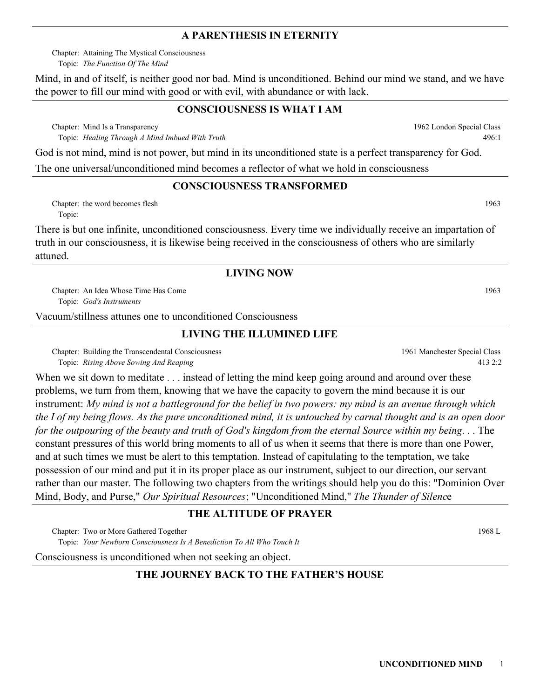#### **A PARENTHESIS IN ETERNITY**

Chapter: Attaining The Mystical Consciousness *The Function Of The Mind* Topic:

Mind, in and of itself, is neither good nor bad. Mind is unconditioned. Behind our mind we stand, and we have the power to fill our mind with good or with evil, with abundance or with lack.

### **CONSCIOUSNESS IS WHAT I AM**

Chapter: Mind Is a Transparency *Healing Through A Mind Imbued With Truth* Topic:

God is not mind, mind is not power, but mind in its unconditioned state is a perfect transparency for God.

The one universal/unconditioned mind becomes a reflector of what we hold in consciousness

### **CONSCIOUSNESS TRANSFORMED**

Chapter: the word becomes flesh 1963 Topic:

There is but one infinite, unconditioned consciousness. Every time we individually receive an impartation of truth in our consciousness, it is likewise being received in the consciousness of others who are similarly attuned.

### **LIVING NOW**

Chapter: An Idea Whose Time Has Come (1963) 2008 1963 *God's Instruments* Topic:

Vacuum/stillness attunes one to unconditioned Consciousness

## **LIVING THE ILLUMINED LIFE**

Chapter: Building the Transcendental Consciousness *Rising Above Sowing And Reaping* Topic:

When we sit down to meditate . . . instead of letting the mind keep going around and around over these problems, we turn from them, knowing that we have the capacity to govern the mind because it is our instrument: *My mind is not a battleground for the belief in two powers: my mind is an avenue through which the I of my being flows. As the pure unconditioned mind, it is untouched by carnal thought and is an open door for the outpouring of the beauty and truth of God's kingdom from the eternal Source within my being*. . . The constant pressures of this world bring moments to all of us when it seems that there is more than one Power, and at such times we must be alert to this temptation. Instead of capitulating to the temptation, we take possession of our mind and put it in its proper place as our instrument, subject to our direction, our servant rather than our master. The following two chapters from the writings should help you do this: "Dominion Over Mind, Body, and Purse," *Our Spiritual Resources*; "Unconditioned Mind," *The Thunder of Silenc*e

# **THE ALTITUDE OF PRAYER**

Two or More Gathered Together Chapter: 1968 L *Your Newborn Consciousness Is A Benediction To All Who Touch It* Topic:

Consciousness is unconditioned when not seeking an object.

# **THE JOURNEY BACK TO THE FATHER'S HOUSE**

1961 Manchester Special Class 413 2:2

1962 London Special Class 496:1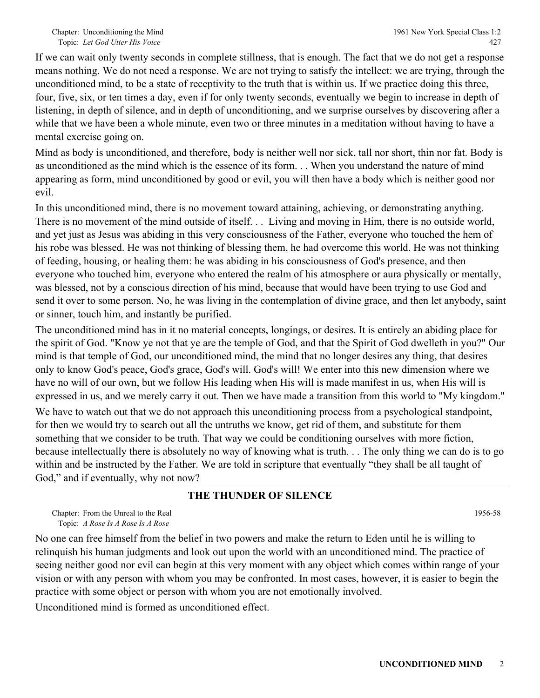If we can wait only twenty seconds in complete stillness, that is enough. The fact that we do not get a response means nothing. We do not need a response. We are not trying to satisfy the intellect: we are trying, through the unconditioned mind, to be a state of receptivity to the truth that is within us. If we practice doing this three, four, five, six, or ten times a day, even if for only twenty seconds, eventually we begin to increase in depth of listening, in depth of silence, and in depth of unconditioning, and we surprise ourselves by discovering after a while that we have been a whole minute, even two or three minutes in a meditation without having to have a mental exercise going on.

Mind as body is unconditioned, and therefore, body is neither well nor sick, tall nor short, thin nor fat. Body is as unconditioned as the mind which is the essence of its form. . . When you understand the nature of mind appearing as form, mind unconditioned by good or evil, you will then have a body which is neither good nor evil.

In this unconditioned mind, there is no movement toward attaining, achieving, or demonstrating anything. There is no movement of the mind outside of itself. . . Living and moving in Him, there is no outside world, and yet just as Jesus was abiding in this very consciousness of the Father, everyone who touched the hem of his robe was blessed. He was not thinking of blessing them, he had overcome this world. He was not thinking of feeding, housing, or healing them: he was abiding in his consciousness of God's presence, and then everyone who touched him, everyone who entered the realm of his atmosphere or aura physically or mentally, was blessed, not by a conscious direction of his mind, because that would have been trying to use God and send it over to some person. No, he was living in the contemplation of divine grace, and then let anybody, saint or sinner, touch him, and instantly be purified.

The unconditioned mind has in it no material concepts, longings, or desires. It is entirely an abiding place for the spirit of God. "Know ye not that ye are the temple of God, and that the Spirit of God dwelleth in you?" Our mind is that temple of God, our unconditioned mind, the mind that no longer desires any thing, that desires only to know God's peace, God's grace, God's will. God's will! We enter into this new dimension where we have no will of our own, but we follow His leading when His will is made manifest in us, when His will is expressed in us, and we merely carry it out. Then we have made a transition from this world to "My kingdom."

We have to watch out that we do not approach this unconditioning process from a psychological standpoint, for then we would try to search out all the untruths we know, get rid of them, and substitute for them something that we consider to be truth. That way we could be conditioning ourselves with more fiction, because intellectually there is absolutely no way of knowing what is truth. . . The only thing we can do is to go within and be instructed by the Father. We are told in scripture that eventually "they shall be all taught of God," and if eventually, why not now?

### **THE THUNDER OF SILENCE**

Chapter: From the Unreal to the Real 2006 and the Real 2006 and the Real 2006 and the Real 2006 and 2006 and 2006 and 2006 and 2006 and 2006 and 2006 and 2006 and 2006 and 2006 and 2006 and 2006 and 2006 and 2006 and 2006 *A Rose Is A Rose Is A Rose* Topic:

No one can free himself from the belief in two powers and make the return to Eden until he is willing to relinquish his human judgments and look out upon the world with an unconditioned mind. The practice of seeing neither good nor evil can begin at this very moment with any object which comes within range of your vision or with any person with whom you may be confronted. In most cases, however, it is easier to begin the practice with some object or person with whom you are not emotionally involved.

Unconditioned mind is formed as unconditioned effect.